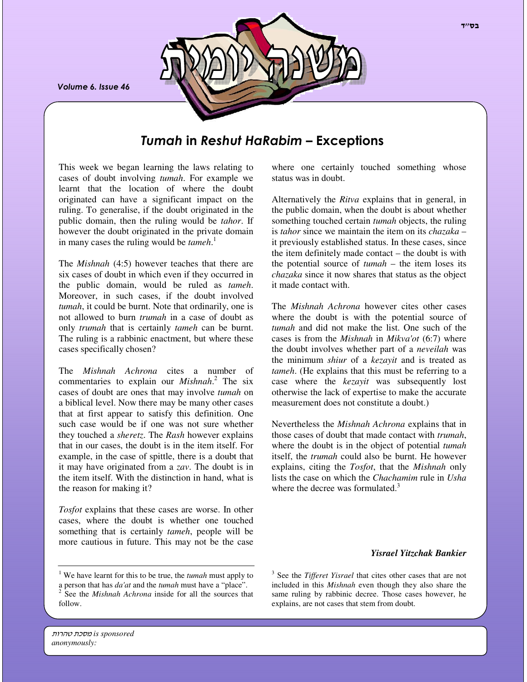Volume 6. Issue 46



# Tumah in Reshut HaRabim – Exceptions

This week we began learning the laws relating to cases of doubt involving *tumah*. For example we learnt that the location of where the doubt originated can have a significant impact on the ruling. To generalise, if the doubt originated in the public domain, then the ruling would be *tahor*. If however the doubt originated in the private domain in many cases the ruling would be *tameh*. 1

The *Mishnah* (4:5) however teaches that there are six cases of doubt in which even if they occurred in the public domain, would be ruled as *tameh*. Moreover, in such cases, if the doubt involved *tumah*, it could be burnt. Note that ordinarily, one is not allowed to burn *trumah* in a case of doubt as only *trumah* that is certainly *tameh* can be burnt. The ruling is a rabbinic enactment, but where these cases specifically chosen?

The *Mishnah Achrona* cites a number of commentaries to explain our *Mishnah*. 2 The six cases of doubt are ones that may involve *tumah* on a biblical level. Now there may be many other cases that at first appear to satisfy this definition. One such case would be if one was not sure whether they touched a *sheretz*. The *Rash* however explains that in our cases, the doubt is in the item itself. For example, in the case of spittle, there is a doubt that it may have originated from a *zav*. The doubt is in the item itself. With the distinction in hand, what is the reason for making it?

*Tosfot* explains that these cases are worse. In other cases, where the doubt is whether one touched something that is certainly *tameh*, people will be more cautious in future. This may not be the case

<sup>1</sup> We have learnt for this to be true, the *tumah* must apply to a person that has *da'at* and the *tumah* must have a "place".

where one certainly touched something whose status was in doubt.

Alternatively the *Ritva* explains that in general, in the public domain, when the doubt is about whether something touched certain *tumah* objects, the ruling is *tahor* since we maintain the item on its *chazaka* – it previously established status. In these cases, since the item definitely made contact – the doubt is with the potential source of *tumah* – the item loses its *chazaka* since it now shares that status as the object it made contact with.

The *Mishnah Achrona* however cites other cases where the doubt is with the potential source of *tumah* and did not make the list. One such of the cases is from the *Mishnah* in *Mikva'ot* (6:7) where the doubt involves whether part of a *neveilah* was the minimum *shiur* of a *kezayit* and is treated as *tameh*. (He explains that this must be referring to a case where the *kezayit* was subsequently lost otherwise the lack of expertise to make the accurate measurement does not constitute a doubt.)

Nevertheless the *Mishnah Achrona* explains that in those cases of doubt that made contact with *trumah*, where the doubt is in the object of potential *tumah* itself, the *trumah* could also be burnt. He however explains, citing the *Tosfot*, that the *Mishnah* only lists the case on which the *Chachamim* rule in *Usha*  where the decree was formulated. $3$ 

#### *Yisrael Yitzchak Bankier*

<sup>&</sup>lt;sup>2</sup> See the *Mishnah Achrona* inside for all the sources that follow.

<sup>3</sup> See the *Tifferet Yisrael* that cites other cases that are not included in this *Mishnah* even though they also share the same ruling by rabbinic decree. Those cases however, he explains, are not cases that stem from doubt.

 *anonymously: sponsored is* מסכת טהרות